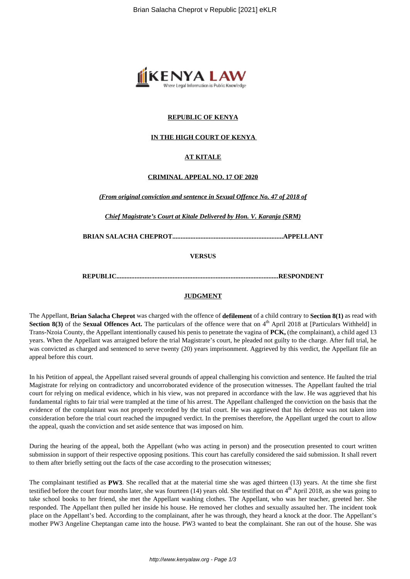

## **REPUBLIC OF KENYA**

## **IN THE HIGH COURT OF KENYA**

## **AT KITALE**

### **CRIMINAL APPEAL NO. 17 OF 2020**

*(From original conviction and sentence in Sexual Offence No. 47 of 2018 of*

*Chief Magistrate's Court at Kitale Delivered by Hon. V. Karanja (SRM)*

**BRIAN SALACHA CHEPROT...................................................................APPELLANT**

**VERSUS**

**REPUBLIC..................................................................................................RESPONDENT**

### **JUDGMENT**

The Appellant, **Brian Salacha Cheprot** was charged with the offence of **defilement** of a child contrary to **Section 8(1)** as read with **Section 8(3)** of the **Sexual Offences Act.** The particulars of the offence were that on 4<sup>th</sup> April 2018 at [Particulars Withheld] in Trans-Nzoia County, the Appellant intentionally caused his penis to penetrate the vagina of **PCK,** (the complainant), a child aged 13 years. When the Appellant was arraigned before the trial Magistrate's court, he pleaded not guilty to the charge. After full trial, he was convicted as charged and sentenced to serve twenty (20) years imprisonment. Aggrieved by this verdict, the Appellant file an appeal before this court.

In his Petition of appeal, the Appellant raised several grounds of appeal challenging his conviction and sentence. He faulted the trial Magistrate for relying on contradictory and uncorroborated evidence of the prosecution witnesses. The Appellant faulted the trial court for relying on medical evidence, which in his view, was not prepared in accordance with the law. He was aggrieved that his fundamental rights to fair trial were trampled at the time of his arrest. The Appellant challenged the conviction on the basis that the evidence of the complainant was not properly recorded by the trial court. He was aggrieved that his defence was not taken into consideration before the trial court reached the impugned verdict. In the premises therefore, the Appellant urged the court to allow the appeal, quash the conviction and set aside sentence that was imposed on him.

During the hearing of the appeal, both the Appellant (who was acting in person) and the prosecution presented to court written submission in support of their respective opposing positions. This court has carefully considered the said submission. It shall revert to them after briefly setting out the facts of the case according to the prosecution witnesses;

The complainant testified as **PW3**. She recalled that at the material time she was aged thirteen (13) years. At the time she first testified before the court four months later, she was fourteen  $(14)$  years old. She testified that on  $4<sup>th</sup>$  April 2018, as she was going to take school books to her friend, she met the Appellant washing clothes. The Appellant, who was her teacher, greeted her. She responded. The Appellant then pulled her inside his house. He removed her clothes and sexually assaulted her. The incident took place on the Appellant's bed. According to the complainant, after he was through, they heard a knock at the door. The Appellant's mother PW3 Angeline Cheptangan came into the house. PW3 wanted to beat the complainant. She ran out of the house. She was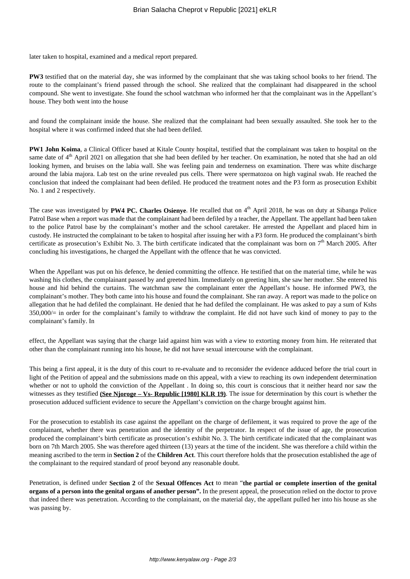later taken to hospital, examined and a medical report prepared.

**PW3** testified that on the material day, she was informed by the complainant that she was taking school books to her friend. The route to the complainant's friend passed through the school. She realized that the complainant had disappeared in the school compound. She went to investigate. She found the school watchman who informed her that the complainant was in the Appellant's house. They both went into the house

and found the complainant inside the house. She realized that the complainant had been sexually assaulted. She took her to the hospital where it was confirmed indeed that she had been defiled.

**PW1 John Koima**, a Clinical Officer based at Kitale County hospital, testified that the complainant was taken to hospital on the same date of 4<sup>th</sup> April 2021 on allegation that she had been defiled by her teacher. On examination, he noted that she had an old looking hymen, and bruises on the labia wall. She was feeling pain and tenderness on examination. There was white discharge around the labia majora. Lab test on the urine revealed pus cells. There were spermatozoa on high vaginal swab. He reached the conclusion that indeed the complainant had been defiled. He produced the treatment notes and the P3 form as prosecution Exhibit No. 1 and 2 respectively.

The case was investigated by PW4 PC. Charles Osienye. He recalled that on 4<sup>th</sup> April 2018, he was on duty at Sibanga Police Patrol Base when a report was made that the complainant had been defiled by a teacher, the Appellant. The appellant had been taken to the police Patrol base by the complainant's mother and the school caretaker. He arrested the Appellant and placed him in custody. He instructed the complainant to be taken to hospital after issuing her with a P3 form. He produced the complainant's birth certificate as prosecution's Exhibit No. 3. The birth certificate indicated that the complainant was born on 7<sup>th</sup> March 2005. After concluding his investigations, he charged the Appellant with the offence that he was convicted.

When the Appellant was put on his defence, he denied committing the offence. He testified that on the material time, while he was washing his clothes, the complainant passed by and greeted him. Immediately on greeting him, she saw her mother. She entered his house and hid behind the curtains. The watchman saw the complainant enter the Appellant's house. He informed PW3, the complainant's mother. They both came into his house and found the complainant. She ran away. A report was made to the police on allegation that he had defiled the complainant. He denied that he had defiled the complainant. He was asked to pay a sum of Kshs 350,000/= in order for the complainant's family to withdraw the complaint. He did not have such kind of money to pay to the complainant's family. In

effect, the Appellant was saying that the charge laid against him was with a view to extorting money from him. He reiterated that other than the complainant running into his house, he did not have sexual intercourse with the complainant.

This being a first appeal, it is the duty of this court to re-evaluate and to reconsider the evidence adduced before the trial court in light of the Petition of appeal and the submissions made on this appeal, with a view to reaching its own independent determination whether or not to uphold the conviction of the Appellant. In doing so, this court is conscious that it neither heard nor saw the witnesses as they testified **(See Njoroge – Vs- Republic [1980] KLR 19)**. The issue for determination by this court is whether the prosecution adduced sufficient evidence to secure the Appellant's conviction on the charge brought against him.

For the prosecution to establish its case against the appellant on the charge of defilement, it was required to prove the age of the complainant, whether there was penetration and the identity of the perpetrator. In respect of the issue of age, the prosecution produced the complainant's birth certificate as prosecution's exhibit No. 3. The birth certificate indicated that the complainant was born on 7th March 2005. She was therefore aged thirteen (13) years at the time of the incident. She was therefore a child within the meaning ascribed to the term in **Section 2** of the **Children Act**. This court therefore holds that the prosecution established the age of the complainant to the required standard of proof beyond any reasonable doubt.

Penetration, is defined under **Section 2** of the **Sexual Offences Act** to mean "**the partial or complete insertion of the genital organs of a person into the genital organs of another person".** In the present appeal, the prosecution relied on the doctor to prove that indeed there was penetration. According to the complainant, on the material day, the appellant pulled her into his house as she was passing by.